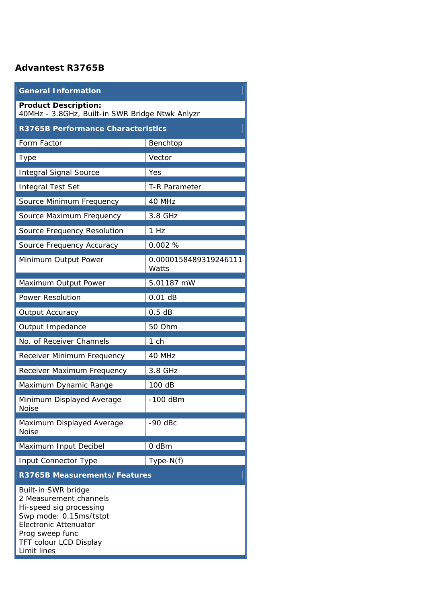## **Advantest R3765B**

| <b>General Information</b>                                                                                                                                                                     |                                |  |
|------------------------------------------------------------------------------------------------------------------------------------------------------------------------------------------------|--------------------------------|--|
| <b>Product Description:</b><br>40MHz - 3.8GHz, Built-in SWR Bridge Ntwk Anlyzr                                                                                                                 |                                |  |
| <b>R3765B Performance Characteristics</b>                                                                                                                                                      |                                |  |
| Form Factor                                                                                                                                                                                    | Benchtop                       |  |
| <b>Type</b>                                                                                                                                                                                    | Vector                         |  |
| <b>Integral Signal Source</b>                                                                                                                                                                  | Yes                            |  |
| <b>Integral Test Set</b>                                                                                                                                                                       | <b>T-R Parameter</b>           |  |
| Source Minimum Frequency                                                                                                                                                                       | 40 MHz                         |  |
| Source Maximum Frequency                                                                                                                                                                       | 3.8 GHz                        |  |
| Source Frequency Resolution                                                                                                                                                                    | 1 Hz                           |  |
| Source Frequency Accuracy                                                                                                                                                                      | 0.002 %                        |  |
| Minimum Output Power                                                                                                                                                                           | 0.0000158489319246111<br>Watts |  |
| Maximum Output Power                                                                                                                                                                           | 5.01187 mW                     |  |
| <b>Power Resolution</b>                                                                                                                                                                        | $0.01$ dB                      |  |
| Output Accuracy                                                                                                                                                                                | 0.5 dB                         |  |
| Output Impedance                                                                                                                                                                               | 50 Ohm                         |  |
| No. of Receiver Channels                                                                                                                                                                       | $1$ ch                         |  |
| Receiver Minimum Frequency                                                                                                                                                                     | 40 MHz                         |  |
| Receiver Maximum Frequency                                                                                                                                                                     | 3.8 GHz                        |  |
| Maximum Dynamic Range                                                                                                                                                                          | 100 dB                         |  |
| Minimum Displayed Average<br><b>Noise</b>                                                                                                                                                      | $-100$ dBm                     |  |
| Maximum Displayed Average<br><b>Noise</b>                                                                                                                                                      | $-90$ dBc                      |  |
| Maximum Input Decibel                                                                                                                                                                          | 0 dBm                          |  |
| <b>Input Connector Type</b>                                                                                                                                                                    | $Type-N(f)$                    |  |
| <b>R3765B Measurements/Features</b>                                                                                                                                                            |                                |  |
| Built-in SWR bridge<br>2 Measurement channels<br>Hi-speed sig processing<br>Swp mode: 0.15ms/tstpt<br><b>Electronic Attenuator</b><br>Prog sweep func<br>TFT colour LCD Display<br>Limit lines |                                |  |